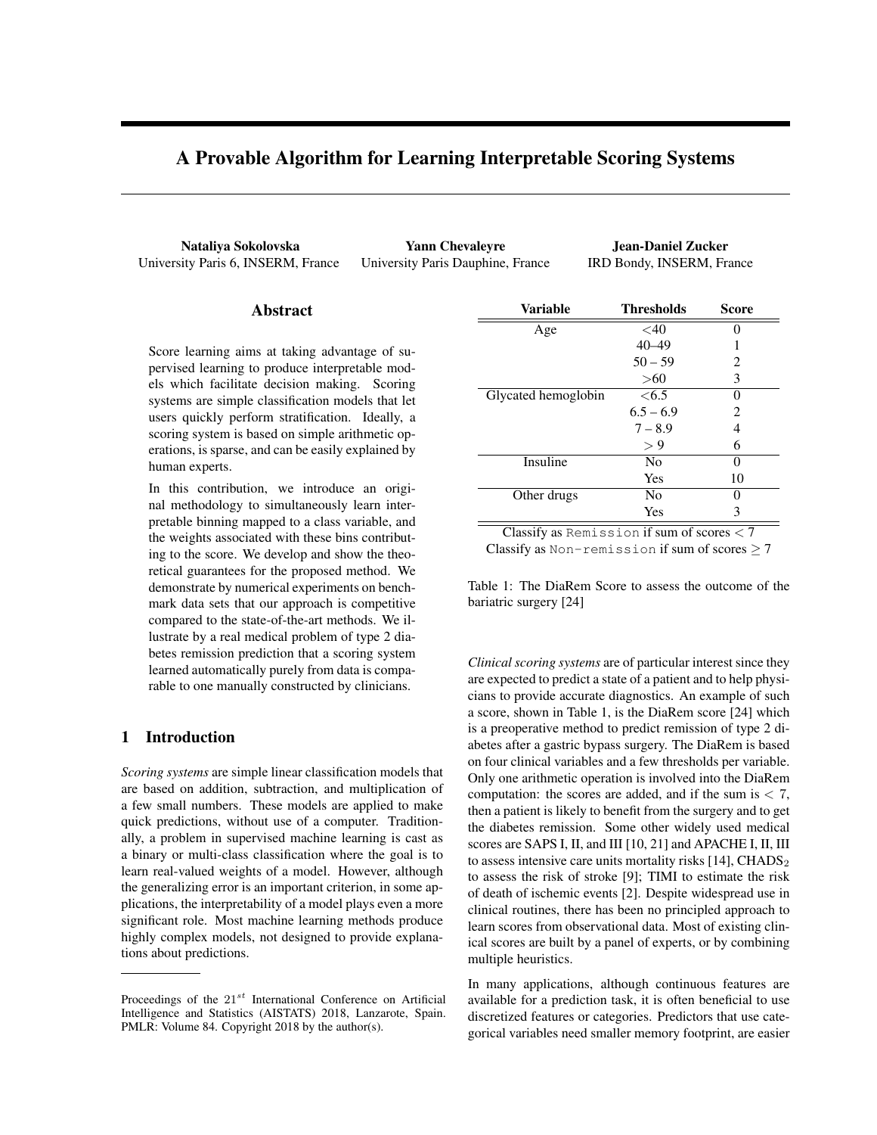# A Provable Algorithm for Learning Interpretable Scoring Systems

University Paris 6, INSERM, France University Paris Dauphine, France IRD Bondy, INSERM, France

Nataliya Sokolovska Yann Chevaleyre Jean-Daniel Zucker

# Abstract

Score learning aims at taking advantage of supervised learning to produce interpretable models which facilitate decision making. Scoring systems are simple classification models that let users quickly perform stratification. Ideally, a scoring system is based on simple arithmetic operations, is sparse, and can be easily explained by human experts.

In this contribution, we introduce an original methodology to simultaneously learn interpretable binning mapped to a class variable, and the weights associated with these bins contributing to the score. We develop and show the theoretical guarantees for the proposed method. We demonstrate by numerical experiments on benchmark data sets that our approach is competitive compared to the state-of-the-art methods. We illustrate by a real medical problem of type 2 diabetes remission prediction that a scoring system learned automatically purely from data is comparable to one manually constructed by clinicians.

# 1 Introduction

*Scoring systems* are simple linear classification models that are based on addition, subtraction, and multiplication of a few small numbers. These models are applied to make quick predictions, without use of a computer. Traditionally, a problem in supervised machine learning is cast as a binary or multi-class classification where the goal is to learn real-valued weights of a model. However, although the generalizing error is an important criterion, in some applications, the interpretability of a model plays even a more significant role. Most machine learning methods produce highly complex models, not designed to provide explanations about predictions.

| Variable            | <b>Thresholds</b> | Score |
|---------------------|-------------------|-------|
| Age                 | $<$ 40            |       |
|                     | $40 - 49$         | 1     |
|                     | $50 - 59$         | 2     |
|                     | $>60$             | 3     |
| Glycated hemoglobin | <6.5              | 0     |
|                     | $6.5 - 6.9$       | 2     |
|                     | $7 - 8.9$         | 4     |
|                     | > 9               | 6     |
| Insuline            | N <sub>0</sub>    | 0     |
|                     | Yes               | 10    |
| Other drugs         | No                | 0     |
|                     | Yes               | 3     |
|                     |                   |       |

Classify as Remission if sum of scores *<* 7

Classify as Non-remission if sum of scores  $\geq 7$ 

Table 1: The DiaRem Score to assess the outcome of the bariatric surgery [24]

*Clinical scoring systems* are of particular interest since they are expected to predict a state of a patient and to help physicians to provide accurate diagnostics. An example of such a score, shown in Table 1, is the DiaRem score [24] which is a preoperative method to predict remission of type 2 diabetes after a gastric bypass surgery. The DiaRem is based on four clinical variables and a few thresholds per variable. Only one arithmetic operation is involved into the DiaRem computation: the scores are added, and if the sum is *<* 7, then a patient is likely to benefit from the surgery and to get the diabetes remission. Some other widely used medical scores are SAPS I, II, and III [10, 21] and APACHE I, II, III to assess intensive care units mortality risks  $[14]$ , CHADS<sub>2</sub> to assess the risk of stroke [9]; TIMI to estimate the risk of death of ischemic events [2]. Despite widespread use in clinical routines, there has been no principled approach to learn scores from observational data. Most of existing clinical scores are built by a panel of experts, or by combining multiple heuristics.

In many applications, although continuous features are available for a prediction task, it is often beneficial to use discretized features or categories. Predictors that use categorical variables need smaller memory footprint, are easier

Proceedings of the 21*st* International Conference on Artificial Intelligence and Statistics (AISTATS) 2018, Lanzarote, Spain. PMLR: Volume 84. Copyright 2018 by the author(s).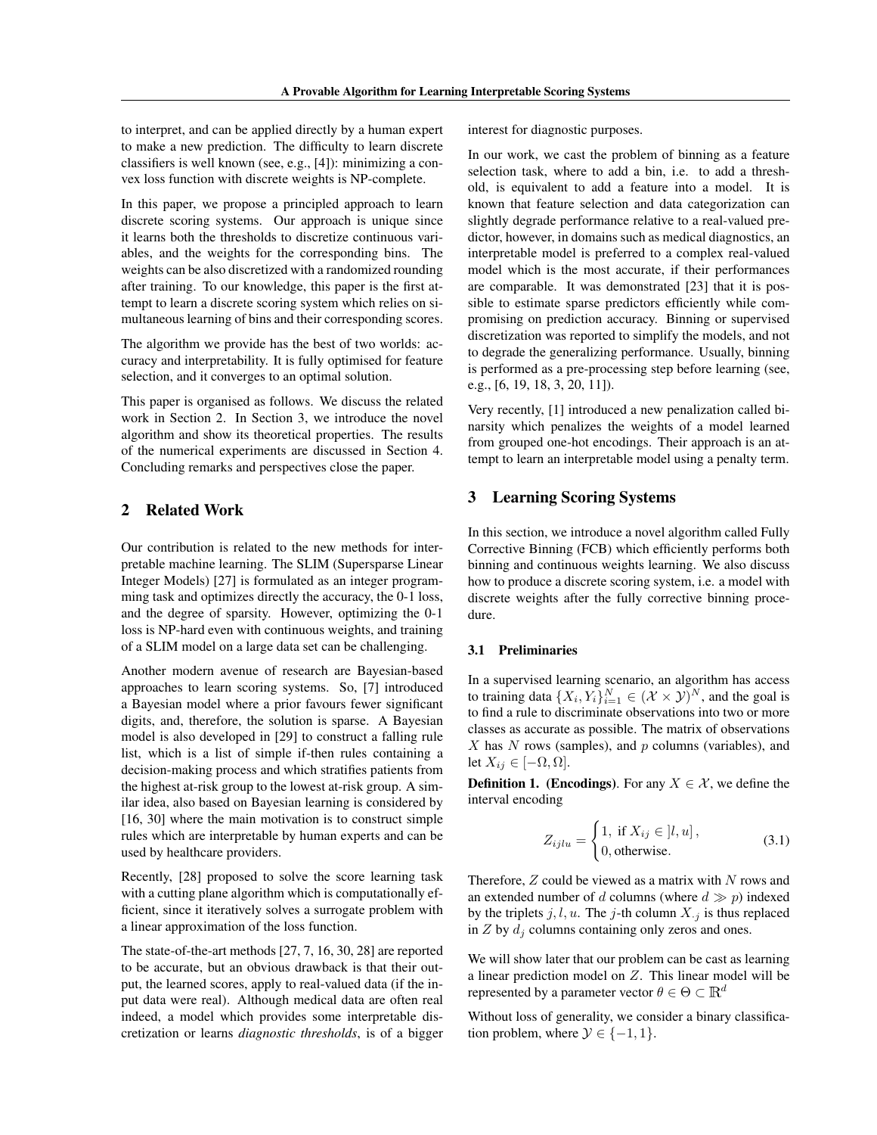to interpret, and can be applied directly by a human expert to make a new prediction. The difficulty to learn discrete classifiers is well known (see, e.g., [4]): minimizing a convex loss function with discrete weights is NP-complete.

In this paper, we propose a principled approach to learn discrete scoring systems. Our approach is unique since it learns both the thresholds to discretize continuous variables, and the weights for the corresponding bins. The weights can be also discretized with a randomized rounding after training. To our knowledge, this paper is the first attempt to learn a discrete scoring system which relies on simultaneous learning of bins and their corresponding scores.

The algorithm we provide has the best of two worlds: accuracy and interpretability. It is fully optimised for feature selection, and it converges to an optimal solution.

This paper is organised as follows. We discuss the related work in Section 2. In Section 3, we introduce the novel algorithm and show its theoretical properties. The results of the numerical experiments are discussed in Section 4. Concluding remarks and perspectives close the paper.

# 2 Related Work

Our contribution is related to the new methods for interpretable machine learning. The SLIM (Supersparse Linear Integer Models) [27] is formulated as an integer programming task and optimizes directly the accuracy, the 0-1 loss, and the degree of sparsity. However, optimizing the 0-1 loss is NP-hard even with continuous weights, and training of a SLIM model on a large data set can be challenging.

Another modern avenue of research are Bayesian-based approaches to learn scoring systems. So, [7] introduced a Bayesian model where a prior favours fewer significant digits, and, therefore, the solution is sparse. A Bayesian model is also developed in [29] to construct a falling rule list, which is a list of simple if-then rules containing a decision-making process and which stratifies patients from the highest at-risk group to the lowest at-risk group. A similar idea, also based on Bayesian learning is considered by [16, 30] where the main motivation is to construct simple rules which are interpretable by human experts and can be used by healthcare providers.

Recently, [28] proposed to solve the score learning task with a cutting plane algorithm which is computationally efficient, since it iteratively solves a surrogate problem with a linear approximation of the loss function.

The state-of-the-art methods [27, 7, 16, 30, 28] are reported to be accurate, but an obvious drawback is that their output, the learned scores, apply to real-valued data (if the input data were real). Although medical data are often real indeed, a model which provides some interpretable discretization or learns *diagnostic thresholds*, is of a bigger interest for diagnostic purposes.

In our work, we cast the problem of binning as a feature selection task, where to add a bin, i.e. to add a threshold, is equivalent to add a feature into a model. It is known that feature selection and data categorization can slightly degrade performance relative to a real-valued predictor, however, in domains such as medical diagnostics, an interpretable model is preferred to a complex real-valued model which is the most accurate, if their performances are comparable. It was demonstrated [23] that it is possible to estimate sparse predictors efficiently while compromising on prediction accuracy. Binning or supervised discretization was reported to simplify the models, and not to degrade the generalizing performance. Usually, binning is performed as a pre-processing step before learning (see, e.g., [6, 19, 18, 3, 20, 11]).

Very recently, [1] introduced a new penalization called binarsity which penalizes the weights of a model learned from grouped one-hot encodings. Their approach is an attempt to learn an interpretable model using a penalty term.

# 3 Learning Scoring Systems

In this section, we introduce a novel algorithm called Fully Corrective Binning (FCB) which efficiently performs both binning and continuous weights learning. We also discuss how to produce a discrete scoring system, i.e. a model with discrete weights after the fully corrective binning procedure.

#### 3.1 Preliminaries

In a supervised learning scenario, an algorithm has access to training data  $\{X_i, Y_i\}_{i=1}^N \in (\mathcal{X} \times \mathcal{Y})^N$ , and the goal is to find a rule to discriminate observations into two or more classes as accurate as possible. The matrix of observations *X* has *N* rows (samples), and *p* columns (variables), and let  $X_{ij} \in [-\Omega, \Omega]$ .

**Definition 1.** (Encodings). For any  $X \in \mathcal{X}$ , we define the interval encoding

$$
Z_{ijlu} = \begin{cases} 1, \text{ if } X_{ij} \in ]l, u], \\ 0, \text{ otherwise.} \end{cases}
$$
 (3.1)

Therefore, *Z* could be viewed as a matrix with *N* rows and an extended number of *d* columns (where  $d \gg p$ ) indexed by the triplets  $j, l, u$ . The  $j$ -th column  $X_{\cdot j}$  is thus replaced in  $Z$  by  $d_j$  columns containing only zeros and ones.

We will show later that our problem can be cast as learning a linear prediction model on *Z*. This linear model will be represented by a parameter vector  $\theta \in \Theta \subset \mathbb{R}^d$ 

Without loss of generality, we consider a binary classification problem, where  $\mathcal{Y} \in \{-1, 1\}$ .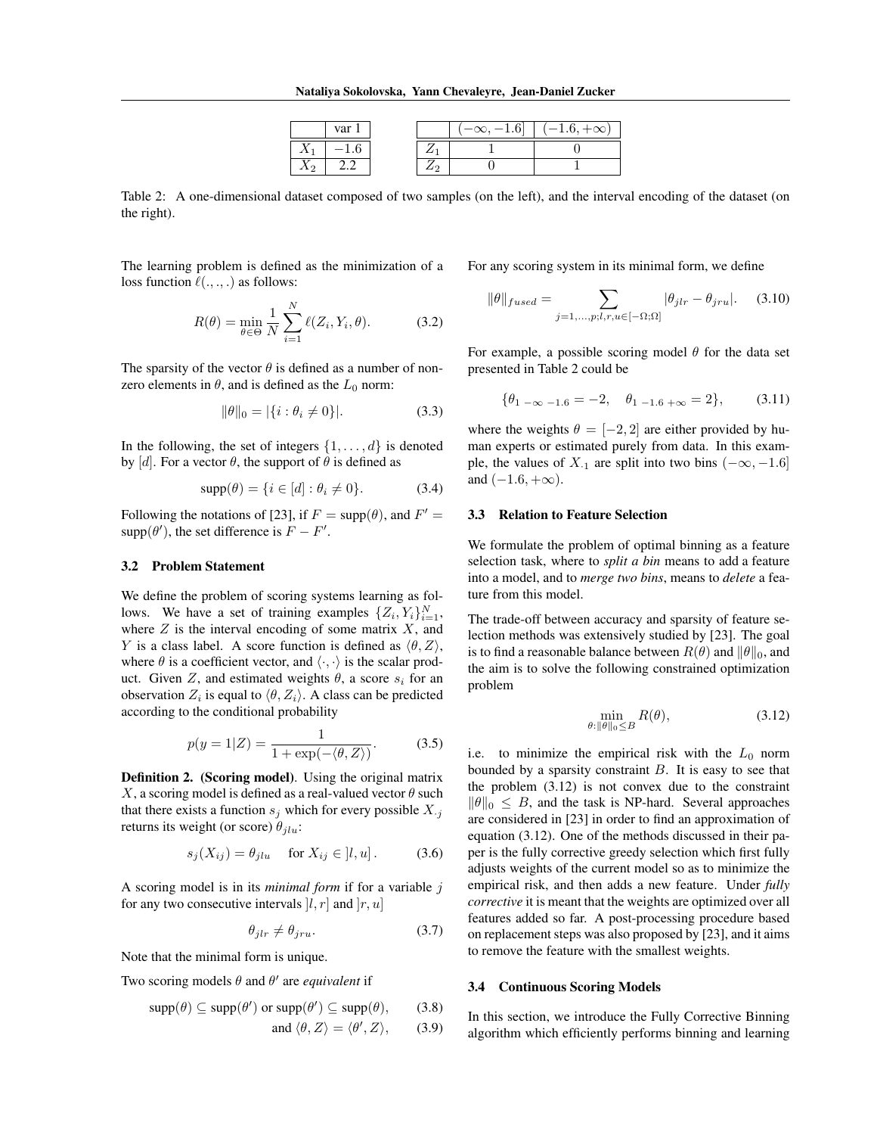|  | "ان |  | v | 1.6.<br>-00 |
|--|-----|--|---|-------------|
|  |     |  |   |             |
|  |     |  |   |             |

Table 2: A one-dimensional dataset composed of two samples (on the left), and the interval encoding of the dataset (on the right).

The learning problem is defined as the minimization of a loss function  $\ell(.,.,.)$  as follows:

$$
R(\theta) = \min_{\theta \in \Theta} \frac{1}{N} \sum_{i=1}^{N} \ell(Z_i, Y_i, \theta).
$$
 (3.2)

The sparsity of the vector  $\theta$  is defined as a number of nonzero elements in  $\theta$ , and is defined as the  $L_0$  norm:

$$
\|\theta\|_0 = |\{i : \theta_i \neq 0\}|. \tag{3.3}
$$

In the following, the set of integers  $\{1, \ldots, d\}$  is denoted by  $[d]$ . For a vector  $\theta$ , the support of  $\theta$  is defined as

$$
supp(\theta) = \{i \in [d] : \theta_i \neq 0\}.
$$
 (3.4)

Following the notations of [23], if  $F = \text{supp}(\theta)$ , and  $F' =$  $supp(\theta')$ , the set difference is  $F - F'$ .

# 3.2 Problem Statement

We define the problem of scoring systems learning as follows. We have a set of training examples  $\{Z_i, Y_i\}_{i=1}^N$ , where *Z* is the interval encoding of some matrix *X*, and *Y* is a class label. A score function is defined as  $\langle \theta, Z \rangle$ , where  $\theta$  is a coefficient vector, and  $\langle \cdot, \cdot \rangle$  is the scalar product. Given *Z*, and estimated weights  $\theta$ , a score  $s_i$  for an observation  $Z_i$  is equal to  $\langle \theta, Z_i \rangle$ . A class can be predicted according to the conditional probability

$$
p(y = 1|Z) = \frac{1}{1 + \exp(-\langle \theta, Z \rangle)}.
$$
 (3.5)

Definition 2. (Scoring model). Using the original matrix *X*, a scoring model is defined as a real-valued vector  $\theta$  such that there exists a function  $s_j$  which for every possible  $X_{\cdot j}$ returns its weight (or score)  $\theta_{jlu}$ :

$$
s_j(X_{ij}) = \theta_{jlu} \quad \text{ for } X_{ij} \in [l, u]. \tag{3.6}
$$

A scoring model is in its *minimal form* if for a variable *j* for any two consecutive intervals  $[l, r]$  and  $[r, u]$ 

$$
\theta_{jlr} \neq \theta_{jru}.\tag{3.7}
$$

Note that the minimal form is unique.

Two scoring models  $\theta$  and  $\theta'$  are *equivalent* if

$$
supp(\theta) \subseteq supp(\theta') \text{ or } supp(\theta') \subseteq supp(\theta), \qquad (3.8)
$$

and 
$$
\langle \theta, Z \rangle = \langle \theta', Z \rangle
$$
, (3.9)

For any scoring system in its minimal form, we define

$$
\|\theta\|_{fused} = \sum_{j=1,\ldots,p;l,r,u \in [-\Omega;\Omega]} |\theta_{jlr} - \theta_{jru}|. \tag{3.10}
$$

For example, a possible scoring model  $\theta$  for the data set presented in Table 2 could be

$$
\{\theta_{1-\infty}-1.6=-2, \quad \theta_{1-1.6+\infty}=2\},\tag{3.11}
$$

where the weights  $\theta = [-2, 2]$  are either provided by human experts or estimated purely from data. In this example, the values of  $X_{\cdot1}$  are split into two bins  $(-\infty, -1.6]$ and  $(-1.6, +\infty)$ .

#### 3.3 Relation to Feature Selection

We formulate the problem of optimal binning as a feature selection task, where to *split a bin* means to add a feature into a model, and to *merge two bins*, means to *delete* a feature from this model.

The trade-off between accuracy and sparsity of feature selection methods was extensively studied by [23]. The goal is to find a reasonable balance between  $R(\theta)$  and  $\|\theta\|_0$ , and the aim is to solve the following constrained optimization problem

$$
\min_{\theta:\|\theta\|_0\leq B} R(\theta),\tag{3.12}
$$

i.e. to minimize the empirical risk with the  $L_0$  norm bounded by a sparsity constraint *B*. It is easy to see that the problem (3.12) is not convex due to the constraint  $\|\theta\|_0 \leq B$ , and the task is NP-hard. Several approaches are considered in [23] in order to find an approximation of equation (3.12). One of the methods discussed in their paper is the fully corrective greedy selection which first fully adjusts weights of the current model so as to minimize the empirical risk, and then adds a new feature. Under *fully corrective* it is meant that the weights are optimized over all features added so far. A post-processing procedure based on replacement steps was also proposed by [23], and it aims to remove the feature with the smallest weights.

#### 3.4 Continuous Scoring Models

In this section, we introduce the Fully Corrective Binning algorithm which efficiently performs binning and learning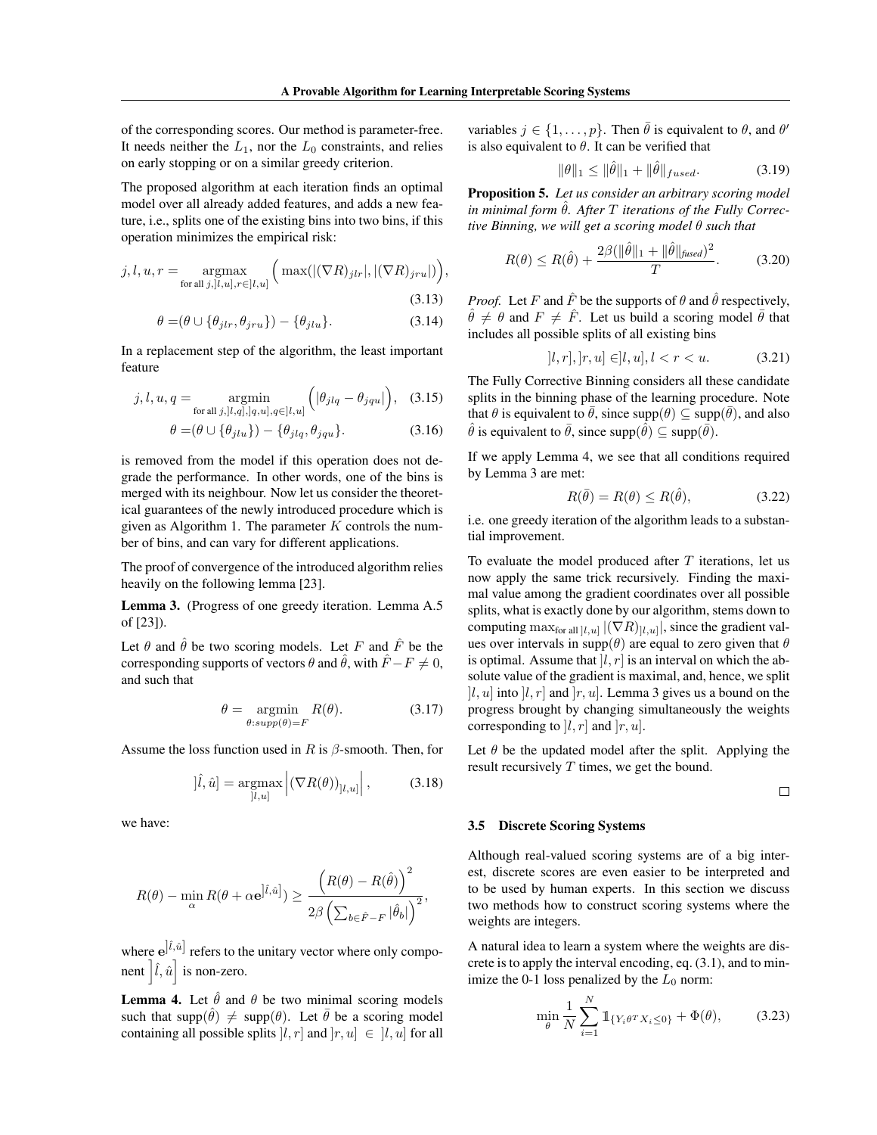of the corresponding scores. Our method is parameter-free. It needs neither the  $L_1$ , nor the  $L_0$  constraints, and relies on early stopping or on a similar greedy criterion.

The proposed algorithm at each iteration finds an optimal model over all already added features, and adds a new feature, i.e., splits one of the existing bins into two bins, if this operation minimizes the empirical risk:

$$
j, l, u, r = \underset{\text{for all } j, ]l, u], r \in ]l, u]}{\operatorname{argmax}} \left( \max\left( |(\nabla R)_{jlr}|, |(\nabla R)_{jru}| \right) \right),\tag{3.13}
$$

$$
\theta = (\theta \cup \{\theta_{jlr}, \theta_{jru}\}) - \{\theta_{jlu}\}.
$$
\n(3.14)

In a replacement step of the algorithm, the least important feature

$$
j, l, u, q = \operatorname*{argmin}_{\text{for all } j, [l, q], [q, u], q \in [l, u]} \left( |\theta_{j l q} - \theta_{j q u}| \right), \quad (3.15)
$$

$$
\theta = (\theta \cup \{\theta_{jlu}\}) - \{\theta_{jlq}, \theta_{jqu}\}.
$$
\n(3.16)

is removed from the model if this operation does not degrade the performance. In other words, one of the bins is merged with its neighbour. Now let us consider the theoretical guarantees of the newly introduced procedure which is given as Algorithm 1. The parameter *K* controls the number of bins, and can vary for different applications.

The proof of convergence of the introduced algorithm relies heavily on the following lemma [23].

Lemma 3. (Progress of one greedy iteration. Lemma A.5 of [23]).

Let  $\theta$  and  $\hat{\theta}$  be two scoring models. Let *F* and  $\hat{F}$  be the corresponding supports of vectors  $\theta$  and  $\hat{\theta}$ , with  $\hat{F} - F \neq 0$ , and such that

$$
\theta = \underset{\theta:supp(\theta)=F}{\operatorname{argmin}} R(\theta). \tag{3.17}
$$

Assume the loss function used in *R* is  $\beta$ -smooth. Then, for

$$
[\hat{l}, \hat{u}] = \underset{|l, u|}{\text{argmax}} \left| (\nabla R(\theta))_{|l, u|} \right|, \quad (3.18)
$$

we have:

$$
R(\theta) - \min_{\alpha} R(\theta + \alpha \mathbf{e}^{\left|\hat{l}, \hat{u}\right|}) \ge \frac{\left(R(\theta) - R(\hat{\theta})\right)^2}{2\beta \left(\sum_{b \in \hat{F} - F} |\hat{\theta}_b|\right)^2},
$$

where  $e^{j\hat{l},\hat{u}]}$  refers to the unitary vector where only component  $\left| \hat{l}, \hat{u} \right|$  is non-zero.

**Lemma 4.** Let  $\hat{\theta}$  and  $\theta$  be two minimal scoring models such that supp $(\hat{\theta}) \neq \text{supp}(\theta)$ . Let  $\overline{\theta}$  be a scoring model containing all possible splits  $|l, r|$  and  $|r, u| \in |l, u|$  for all variables  $j \in \{1, \ldots, p\}$ . Then  $\bar{\theta}$  is equivalent to  $\theta$ , and  $\theta'$ is also equivalent to  $\theta$ . It can be verified that

$$
\|\theta\|_1 \le \|\hat{\theta}\|_1 + \|\hat{\theta}\|_{fused}.
$$
 (3.19)

Proposition 5. *Let us consider an arbitrary scoring model in minimal form*  $\hat{\theta}$ *. After*  $T$  *iterations of the Fully Corrective Binning, we will get a scoring model*  $\theta$  *such that* 

$$
R(\theta) \le R(\hat{\theta}) + \frac{2\beta(\|\hat{\theta}\|_1 + \|\hat{\theta}\|_{\text{fixed}})^2}{T}.
$$
 (3.20)

*Proof.* Let *F* and  $\hat{F}$  be the supports of  $\theta$  and  $\hat{\theta}$  respectively,  $\hat{\theta} \neq \theta$  and  $F \neq \hat{F}$ . Let us build a scoring model  $\bar{\theta}$  that includes all possible splits of all existing bins

$$
[l, r], [r, u] \in ]l, u], l < r < u. \tag{3.21}
$$

The Fully Corrective Binning considers all these candidate splits in the binning phase of the learning procedure. Note that  $\theta$  is equivalent to  $\bar{\theta}$ , since supp $(\theta) \subseteq \text{supp}(\bar{\theta})$ , and also  $\hat{\theta}$  is equivalent to  $\bar{\theta}$ , since supp $(\bar{\theta}) \subseteq \text{supp}(\bar{\theta})$ .

If we apply Lemma 4, we see that all conditions required by Lemma 3 are met:

$$
R(\bar{\theta}) = R(\theta) \le R(\hat{\theta}), \tag{3.22}
$$

i.e. one greedy iteration of the algorithm leads to a substantial improvement.

To evaluate the model produced after *T* iterations, let us now apply the same trick recursively. Finding the maximal value among the gradient coordinates over all possible splits, what is exactly done by our algorithm, stems down to computing  $\max_{\text{for all }[l,u]} |(\nabla R)_{[l,u]}|$ , since the gradient values over intervals in supp $(\theta)$  are equal to zero given that  $\theta$ is optimal. Assume that  $|l, r|$  is an interval on which the absolute value of the gradient is maximal, and, hence, we split  $[l, u]$  into  $[l, r]$  and  $[r, u]$ . Lemma 3 gives us a bound on the progress brought by changing simultaneously the weights corresponding to ]*l, r*] and ]*r, u*].

Let  $\theta$  be the updated model after the split. Applying the result recursively *T* times, we get the bound.

 $\Box$ 

#### 3.5 Discrete Scoring Systems

Although real-valued scoring systems are of a big interest, discrete scores are even easier to be interpreted and to be used by human experts. In this section we discuss two methods how to construct scoring systems where the weights are integers.

A natural idea to learn a system where the weights are discrete is to apply the interval encoding, eq. (3.1), and to minimize the 0-1 loss penalized by the  $L_0$  norm:

$$
\min_{\theta} \frac{1}{N} \sum_{i=1}^{N} \mathbb{1}_{\{Y_i \theta^T X_i \le 0\}} + \Phi(\theta), \tag{3.23}
$$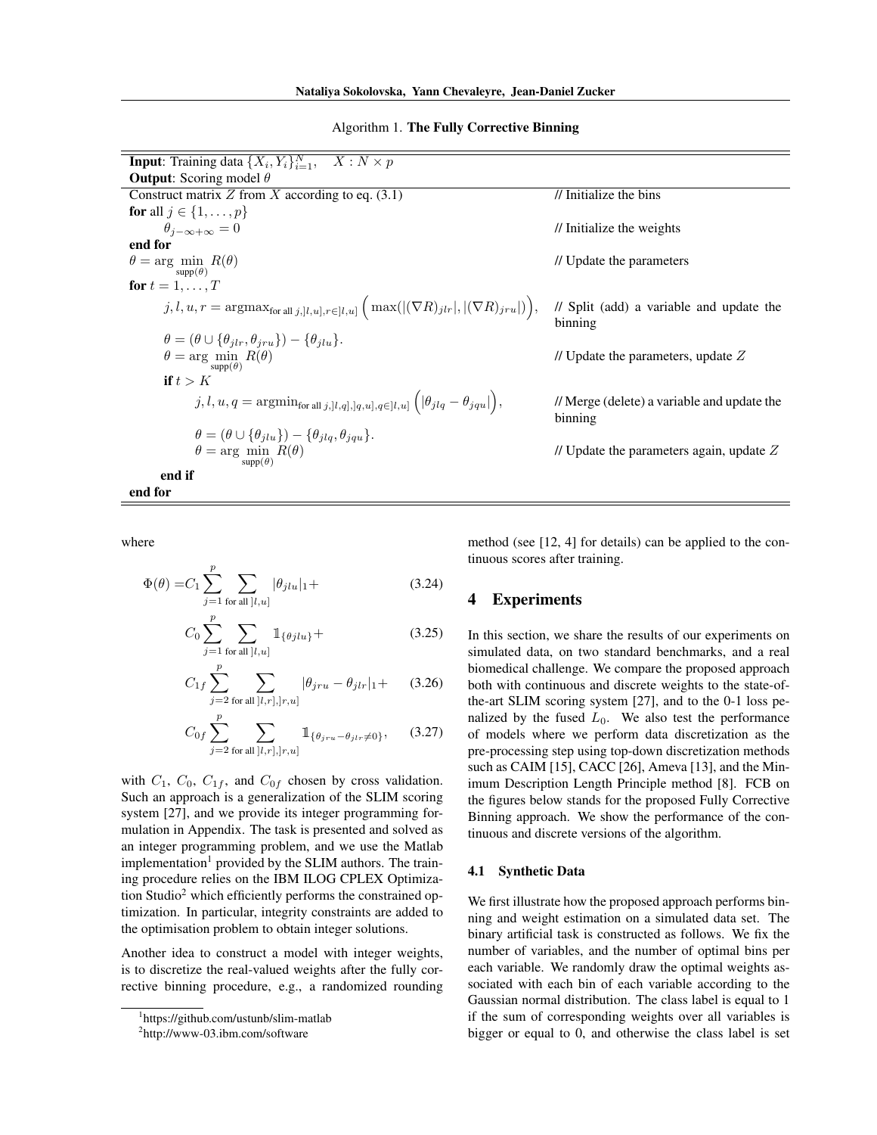#### Algorithm 1. The Fully Corrective Binning

| <b>Input:</b> Training data $\{X_i, Y_i\}_{i=1}^N$ ,<br>$X: N \times p$                                                                                                |                                                        |
|------------------------------------------------------------------------------------------------------------------------------------------------------------------------|--------------------------------------------------------|
| <b>Output:</b> Scoring model $\theta$                                                                                                                                  |                                                        |
| Construct matrix Z from X according to eq. $(3.1)$                                                                                                                     | // Initialize the bins                                 |
| for all $j \in \{1, \ldots, p\}$                                                                                                                                       |                                                        |
| $\theta_{j-\infty+\infty}=0$                                                                                                                                           | // Initialize the weights                              |
| end for                                                                                                                                                                |                                                        |
| $\theta = \arg \min R(\theta)$<br>$\text{supp}(\theta)$                                                                                                                | // Update the parameters                               |
| for $t = 1, \ldots, T$                                                                                                                                                 |                                                        |
| $j, l, u, r = \operatorname{argmax}_{\text{for all } j, [l, u], r \in [l, u]} \Big( \max( (\nabla R)_{jlr} ,  (\nabla R)_{jru} ) \Big),$                               | // Split (add) a variable and update the<br>binning    |
| $\theta = (\theta \cup \{\theta_{ilr}, \theta_{iru}\}) - \{\theta_{ilu}\}.$                                                                                            |                                                        |
| $\theta = \arg \min_{\text{supp}(\theta)} R(\theta)$                                                                                                                   | // Update the parameters, update $Z$                   |
| if $t > K$                                                                                                                                                             |                                                        |
| $j, l, u, q = \text{argmin}_{\text{for all } j, \lfloor l, q \rfloor, \lfloor q, u \rfloor, q \in [l, u]} \left( \lfloor \theta_{jlq} - \theta_{jqu} \rfloor \right),$ | // Merge (delete) a variable and update the<br>binning |
| $\theta = (\theta \cup \{\theta_{jlu}\}) - \{\theta_{jlq}, \theta_{jqu}\}.$                                                                                            |                                                        |
| $\theta = \arg \min R(\theta)$<br>$supp(\theta)$                                                                                                                       | // Update the parameters again, update $Z$             |
| end if                                                                                                                                                                 |                                                        |
| end for                                                                                                                                                                |                                                        |

where

 $\equiv$ 

$$
\Phi(\theta) = C_1 \sum_{j=1}^{p} \sum_{\text{for all } |l, u|} |\theta_{jlu}|_1 +
$$
\n(3.24)

$$
C_0 \sum_{j=1}^{p} \sum_{\text{for all }[l,u]} \mathbb{1}_{\{\theta j l u\}} +
$$
 (3.25)

$$
C_{1f} \sum_{j=2}^{p} \sum_{\text{for all } [l,r], [r,u]} |\theta_{jru} - \theta_{jlr}|_1 +
$$
 (3.26)

$$
C_{0f} \sum_{j=2}^{p} \sum_{\text{for all } [l,r], [r,u]} \mathbb{1}_{\{\theta_{jru} - \theta_{jlr} \neq 0\}}, \qquad (3.27)
$$

with  $C_1$ ,  $C_0$ ,  $C_{1f}$ , and  $C_{0f}$  chosen by cross validation. Such an approach is a generalization of the SLIM scoring system [27], and we provide its integer programming formulation in Appendix. The task is presented and solved as an integer programming problem, and we use the Matlab implementation<sup>1</sup> provided by the SLIM authors. The training procedure relies on the IBM ILOG CPLEX Optimization Studio2 which efficiently performs the constrained optimization. In particular, integrity constraints are added to the optimisation problem to obtain integer solutions.

Another idea to construct a model with integer weights, is to discretize the real-valued weights after the fully corrective binning procedure, e.g., a randomized rounding method (see [12, 4] for details) can be applied to the continuous scores after training.

### 4 Experiments

In this section, we share the results of our experiments on simulated data, on two standard benchmarks, and a real biomedical challenge. We compare the proposed approach both with continuous and discrete weights to the state-ofthe-art SLIM scoring system [27], and to the 0-1 loss penalized by the fused  $L_0$ . We also test the performance of models where we perform data discretization as the pre-processing step using top-down discretization methods such as CAIM [15], CACC [26], Ameva [13], and the Minimum Description Length Principle method [8]. FCB on the figures below stands for the proposed Fully Corrective Binning approach. We show the performance of the continuous and discrete versions of the algorithm.

#### 4.1 Synthetic Data

We first illustrate how the proposed approach performs binning and weight estimation on a simulated data set. The binary artificial task is constructed as follows. We fix the number of variables, and the number of optimal bins per each variable. We randomly draw the optimal weights associated with each bin of each variable according to the Gaussian normal distribution. The class label is equal to 1 if the sum of corresponding weights over all variables is bigger or equal to 0, and otherwise the class label is set

<sup>1</sup> https://github.com/ustunb/slim-matlab

<sup>&</sup>lt;sup>2</sup>http://www-03.ibm.com/software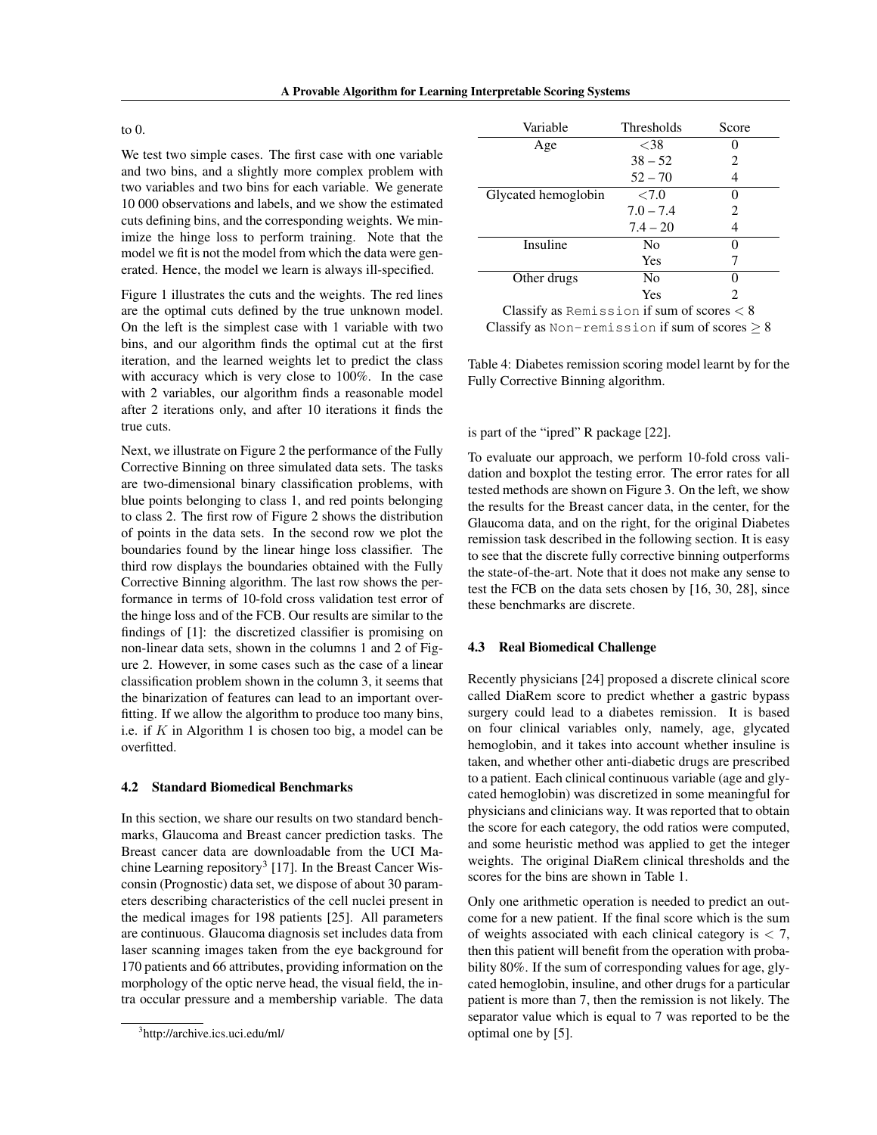#### to  $0$ .

We test two simple cases. The first case with one variable and two bins, and a slightly more complex problem with two variables and two bins for each variable. We generate 10 000 observations and labels, and we show the estimated cuts defining bins, and the corresponding weights. We minimize the hinge loss to perform training. Note that the model we fit is not the model from which the data were generated. Hence, the model we learn is always ill-specified.

Figure 1 illustrates the cuts and the weights. The red lines are the optimal cuts defined by the true unknown model. On the left is the simplest case with 1 variable with two bins, and our algorithm finds the optimal cut at the first iteration, and the learned weights let to predict the class with accuracy which is very close to 100%. In the case with 2 variables, our algorithm finds a reasonable model after 2 iterations only, and after 10 iterations it finds the true cuts.

Next, we illustrate on Figure 2 the performance of the Fully Corrective Binning on three simulated data sets. The tasks are two-dimensional binary classification problems, with blue points belonging to class 1, and red points belonging to class 2. The first row of Figure 2 shows the distribution of points in the data sets. In the second row we plot the boundaries found by the linear hinge loss classifier. The third row displays the boundaries obtained with the Fully Corrective Binning algorithm. The last row shows the performance in terms of 10-fold cross validation test error of the hinge loss and of the FCB. Our results are similar to the findings of [1]: the discretized classifier is promising on non-linear data sets, shown in the columns 1 and 2 of Figure 2. However, in some cases such as the case of a linear classification problem shown in the column 3, it seems that the binarization of features can lead to an important overfitting. If we allow the algorithm to produce too many bins, i.e. if *K* in Algorithm 1 is chosen too big, a model can be overfitted.

### 4.2 Standard Biomedical Benchmarks

In this section, we share our results on two standard benchmarks, Glaucoma and Breast cancer prediction tasks. The Breast cancer data are downloadable from the UCI Machine Learning repository<sup>3</sup> [17]. In the Breast Cancer Wisconsin (Prognostic) data set, we dispose of about 30 parameters describing characteristics of the cell nuclei present in the medical images for 198 patients [25]. All parameters are continuous. Glaucoma diagnosis set includes data from laser scanning images taken from the eye background for 170 patients and 66 attributes, providing information on the morphology of the optic nerve head, the visual field, the intra occular pressure and a membership variable. The data

| Variable            | <b>Thresholds</b> | Score             |
|---------------------|-------------------|-------------------|
| Age                 | ${<}38$           |                   |
|                     | $38 - 52$         | 2                 |
|                     | $52 - 70$         | 4                 |
| Glycated hemoglobin | ${<}7.0$          | $\mathbf{\Omega}$ |
|                     | $7.0 - 7.4$       | 2                 |
|                     | $7.4 - 20$        | 4                 |
| Insuline            | N <sub>0</sub>    | $\mathbf{\Omega}$ |
|                     | Yes               |                   |
| Other drugs         | N <sub>0</sub>    | $\mathbf{\Omega}$ |
|                     | Yes               |                   |

Classify as Remission if sum of scores *<* 8 Classify as Non-remission if sum of scores  $\geq 8$ 

Table 4: Diabetes remission scoring model learnt by for the Fully Corrective Binning algorithm.

#### is part of the "ipred" R package [22].

To evaluate our approach, we perform 10-fold cross validation and boxplot the testing error. The error rates for all tested methods are shown on Figure 3. On the left, we show the results for the Breast cancer data, in the center, for the Glaucoma data, and on the right, for the original Diabetes remission task described in the following section. It is easy to see that the discrete fully corrective binning outperforms the state-of-the-art. Note that it does not make any sense to test the FCB on the data sets chosen by [16, 30, 28], since these benchmarks are discrete.

#### 4.3 Real Biomedical Challenge

Recently physicians [24] proposed a discrete clinical score called DiaRem score to predict whether a gastric bypass surgery could lead to a diabetes remission. It is based on four clinical variables only, namely, age, glycated hemoglobin, and it takes into account whether insuline is taken, and whether other anti-diabetic drugs are prescribed to a patient. Each clinical continuous variable (age and glycated hemoglobin) was discretized in some meaningful for physicians and clinicians way. It was reported that to obtain the score for each category, the odd ratios were computed, and some heuristic method was applied to get the integer weights. The original DiaRem clinical thresholds and the scores for the bins are shown in Table 1.

Only one arithmetic operation is needed to predict an outcome for a new patient. If the final score which is the sum of weights associated with each clinical category is *<* 7, then this patient will benefit from the operation with probability 80%. If the sum of corresponding values for age, glycated hemoglobin, insuline, and other drugs for a particular patient is more than 7, then the remission is not likely. The separator value which is equal to 7 was reported to be the optimal one by [5].

<sup>3</sup> http://archive.ics.uci.edu/ml/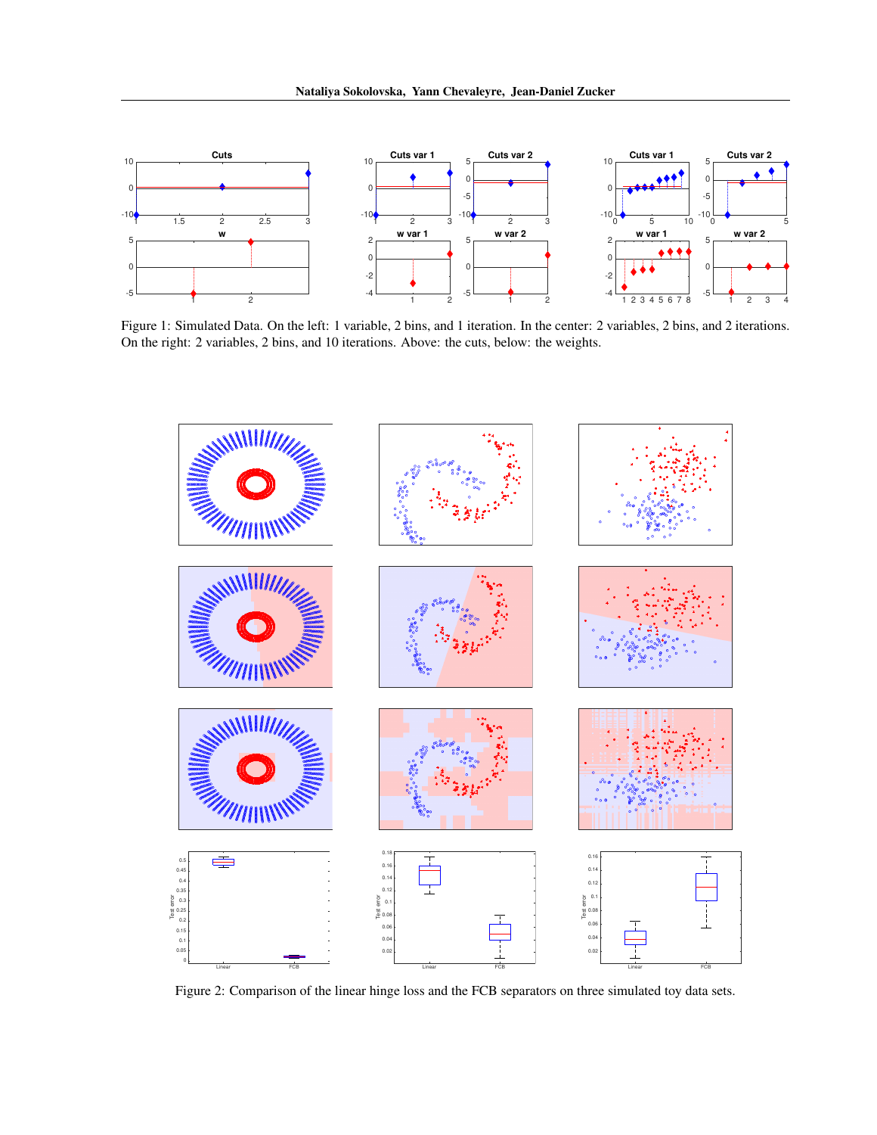

Figure 1: Simulated Data. On the left: 1 variable, 2 bins, and 1 iteration. In the center: 2 variables, 2 bins, and 2 iterations. On the right: 2 variables, 2 bins, and 10 iterations. Above: the cuts, below: the weights.



Figure 2: Comparison of the linear hinge loss and the FCB separators on three simulated toy data sets.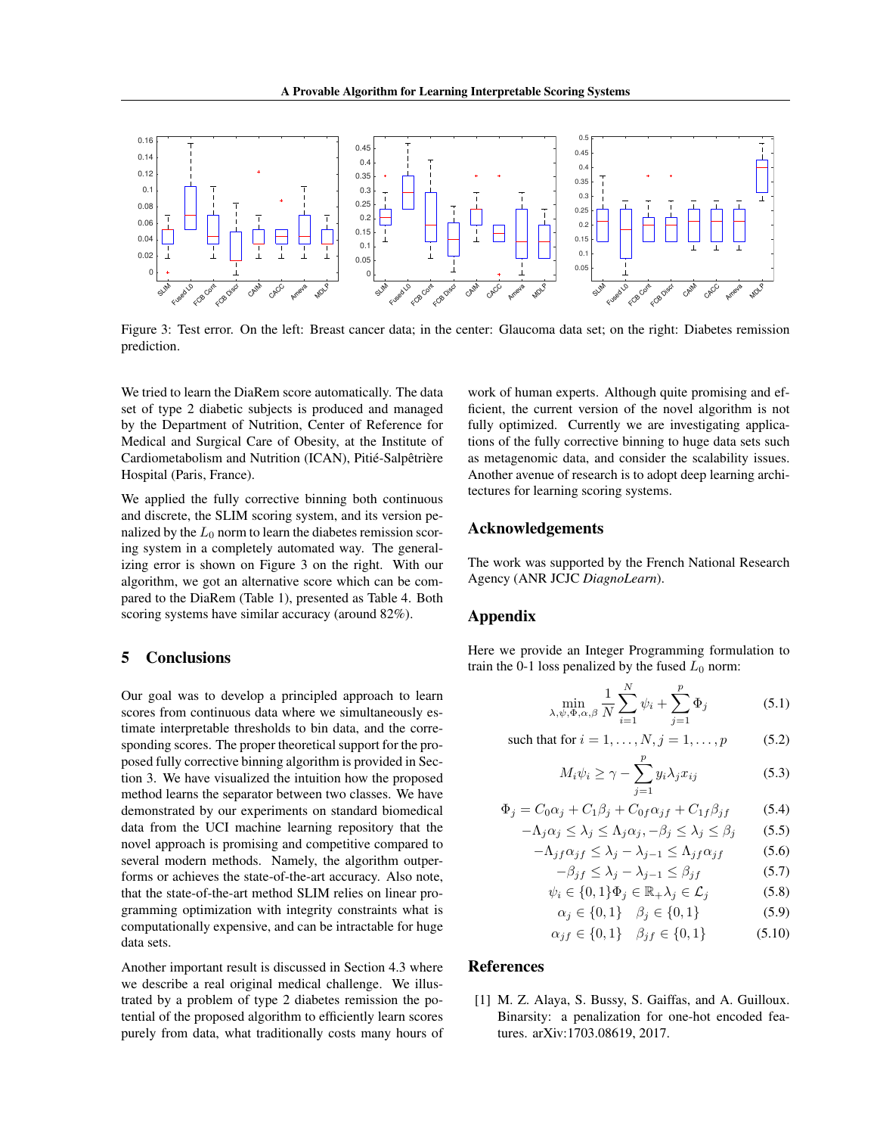

Figure 3: Test error. On the left: Breast cancer data; in the center: Glaucoma data set; on the right: Diabetes remission prediction.

We tried to learn the DiaRem score automatically. The data set of type 2 diabetic subjects is produced and managed by the Department of Nutrition, Center of Reference for Medical and Surgical Care of Obesity, at the Institute of Cardiometabolism and Nutrition (ICAN), Pitié-Salpêtrière Hospital (Paris, France).

We applied the fully corrective binning both continuous and discrete, the SLIM scoring system, and its version penalized by the  $L_0$  norm to learn the diabetes remission scoring system in a completely automated way. The generalizing error is shown on Figure 3 on the right. With our algorithm, we got an alternative score which can be compared to the DiaRem (Table 1), presented as Table 4. Both scoring systems have similar accuracy (around 82%).

# 5 Conclusions

Our goal was to develop a principled approach to learn scores from continuous data where we simultaneously estimate interpretable thresholds to bin data, and the corresponding scores. The proper theoretical support for the proposed fully corrective binning algorithm is provided in Section 3. We have visualized the intuition how the proposed method learns the separator between two classes. We have demonstrated by our experiments on standard biomedical data from the UCI machine learning repository that the novel approach is promising and competitive compared to several modern methods. Namely, the algorithm outperforms or achieves the state-of-the-art accuracy. Also note, that the state-of-the-art method SLIM relies on linear programming optimization with integrity constraints what is computationally expensive, and can be intractable for huge data sets.

Another important result is discussed in Section 4.3 where we describe a real original medical challenge. We illustrated by a problem of type 2 diabetes remission the potential of the proposed algorithm to efficiently learn scores purely from data, what traditionally costs many hours of work of human experts. Although quite promising and efficient, the current version of the novel algorithm is not fully optimized. Currently we are investigating applications of the fully corrective binning to huge data sets such as metagenomic data, and consider the scalability issues. Another avenue of research is to adopt deep learning architectures for learning scoring systems.

# Acknowledgements

The work was supported by the French National Research Agency (ANR JCJC *DiagnoLearn*).

# Appendix

Here we provide an Integer Programming formulation to train the 0-1 loss penalized by the fused  $L_0$  norm:

$$
\min_{\lambda,\psi,\Phi,\alpha,\beta} \frac{1}{N} \sum_{i=1}^{N} \psi_i + \sum_{j=1}^{p} \Phi_j
$$
\n(5.1)

such that for  $i = 1, ..., N, j = 1, ..., p$  (5.2)

$$
M_i \psi_i \ge \gamma - \sum_{j=1}^p y_i \lambda_j x_{ij} \tag{5.3}
$$

$$
\Phi_j = C_0 \alpha_j + C_1 \beta_j + C_0 f \alpha_{jf} + C_{1f} \beta_{jf} \tag{5.4}
$$

$$
-\Lambda_j \alpha_j \le \lambda_j \le \Lambda_j \alpha_j, -\beta_j \le \lambda_j \le \beta_j \tag{5.5}
$$

$$
-\Lambda_{jf}\alpha_{jf} \le \lambda_j - \lambda_{j-1} \le \Lambda_{jf}\alpha_{jf} \tag{5.6}
$$

$$
-\beta_{jf} \le \lambda_j - \lambda_{j-1} \le \beta_{jf} \tag{5.7}
$$

$$
\psi_i \in \{0, 1\} \Phi_j \in \mathbb{R}_+ \lambda_j \in \mathcal{L}_j \tag{5.8}
$$

$$
\alpha_j \in \{0, 1\} \quad \beta_j \in \{0, 1\} \tag{5.9}
$$

$$
\alpha_{jf} \in \{0, 1\} \quad \beta_{jf} \in \{0, 1\} \tag{5.10}
$$

### References

[1] M. Z. Alaya, S. Bussy, S. Gaiffas, and A. Guilloux. Binarsity: a penalization for one-hot encoded features. arXiv:1703.08619, 2017.